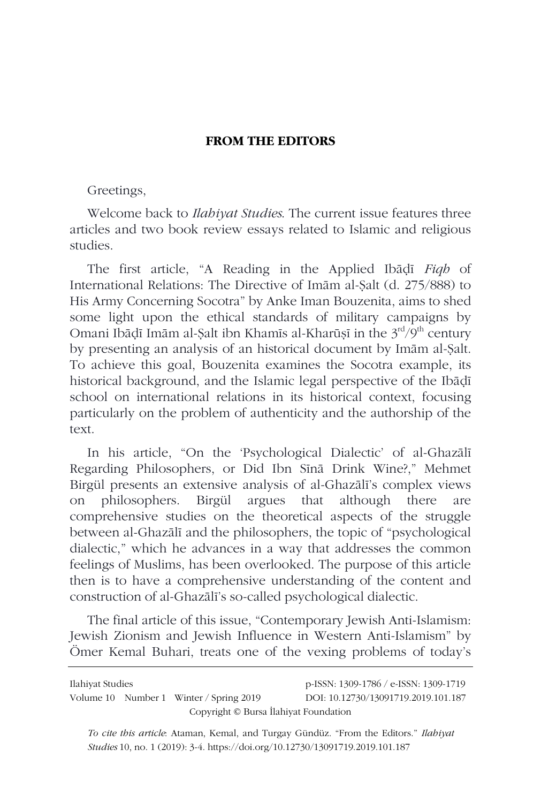## **FROM THE EDITORS**

## Greetings,

Welcome back to *Ilahiyat Studies*. The current issue features three articles and two book review essays related to Islamic and religious studies.

The first article, "A Reading in the Applied Ibāḍī *Fiqh* of International Relations: The Directive of Imām al-Ṣalt (d. 275/888) to His Army Concerning Socotra" by Anke Iman Bouzenita, aims to shed some light upon the ethical standards of military campaigns by Omani Ibādī Imām al-Salt ibn Khamīs al-Kharūsī in the 3<sup>rd</sup>/9<sup>th</sup> century by presenting an analysis of an historical document by Imām al-Ṣalt. To achieve this goal, Bouzenita examines the Socotra example, its historical background, and the Islamic legal perspective of the Ibāḍī school on international relations in its historical context, focusing particularly on the problem of authenticity and the authorship of the text.

In his article, "On the 'Psychological Dialectic' of al-Ghazālī Regarding Philosophers, or Did Ibn Sīnā Drink Wine?," Mehmet Birgül presents an extensive analysis of al-Ghazālī's complex views on philosophers. Birgül argues that although there are comprehensive studies on the theoretical aspects of the struggle between al-Ghazālī and the philosophers, the topic of "psychological dialectic," which he advances in a way that addresses the common feelings of Muslims, has been overlooked. The purpose of this article then is to have a comprehensive understanding of the content and construction of al-Ghazālī's so-called psychological dialectic.

The final article of this issue, "Contemporary Jewish Anti-Islamism: Jewish Zionism and Jewish Influence in Western Anti-Islamism" by Ömer Kemal Buhari, treats one of the vexing problems of today's

| Ilahiyat Studies                      |  |                                         | p-ISSN: 1309-1786 / e-ISSN: 1309-1719 |  |  |
|---------------------------------------|--|-----------------------------------------|---------------------------------------|--|--|
|                                       |  | Volume 10 Number 1 Winter / Spring 2019 | DOI: 10.12730/13091719.2019.101.187   |  |  |
| Copyright © Bursa Ilahiyat Foundation |  |                                         |                                       |  |  |

*To cite this article*: Ataman, Kemal, and Turgay Gündüz. "From the Editors." *Ilahiyat Studies* 10, no. 1 (2019): 3-4. https://doi.org/10.12730/13091719.2019.101.187